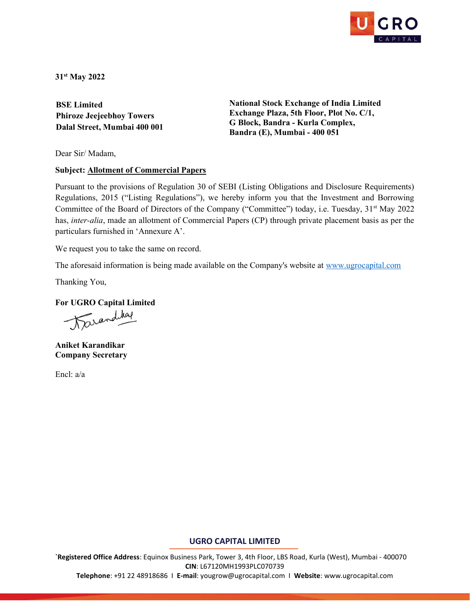

31st May 2022

BSE Limited Phiroze Jeejeebhoy Towers Dalal Street, Mumbai 400 001 National Stock Exchange of India Limited Exchange Plaza, 5th Floor, Plot No. C/1, G Block, Bandra - Kurla Complex, Bandra (E), Mumbai - 400 051

Dear Sir/ Madam,

## Subject: Allotment of Commercial Papers

Pursuant to the provisions of Regulation 30 of SEBI (Listing Obligations and Disclosure Requirements) Regulations, 2015 ("Listing Regulations"), we hereby inform you that the Investment and Borrowing Committee of the Board of Directors of the Company ("Committee") today, i.e. Tuesday, 31<sup>st</sup> May 2022 has, inter-alia, made an allotment of Commercial Papers (CP) through private placement basis as per the particulars furnished in 'Annexure A'.

We request you to take the same on record.

The aforesaid information is being made available on the Company's website at www.ugrocapital.com

Thanking You,

For UGRO Capital Limited

Tarandikap

Aniket Karandikar Company Secretary

Encl: a/a

## UGRO CAPITAL LIMITED

`Registered Office Address: Equinox Business Park, Tower 3, 4th Floor, LBS Road, Kurla (West), Mumbai - 400070 CIN: L67120MH1993PLC070739

Telephone: +91 22 48918686 I E-mail: yougrow@ugrocapital.com I Website: www.ugrocapital.com